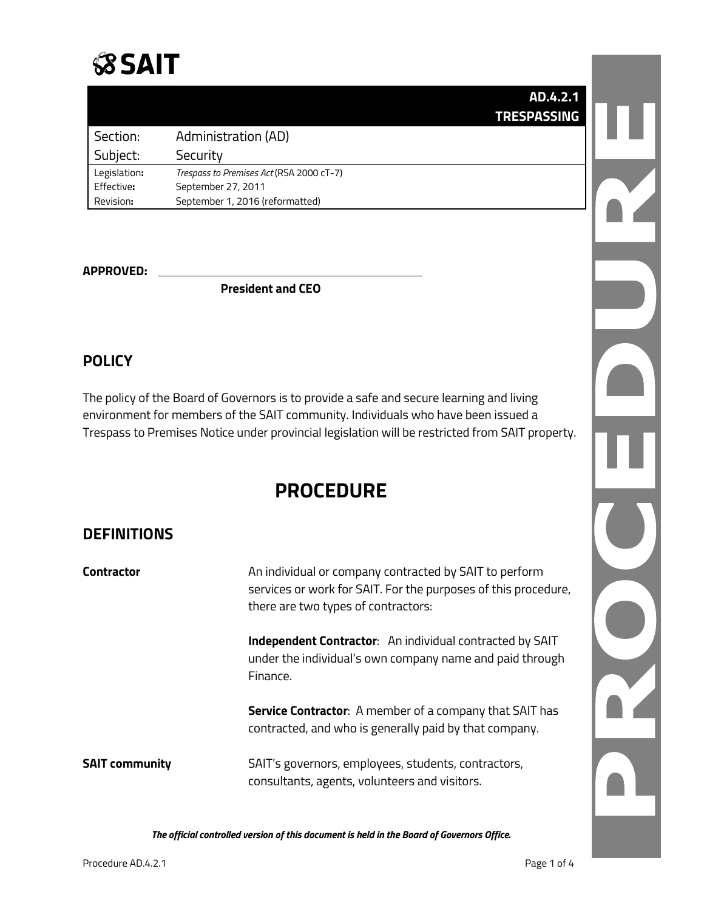

|  |  | AD.4.2.1           |
|--|--|--------------------|
|  |  | <b>TRESPASSING</b> |

| Section:     | Administration (AD)                      |
|--------------|------------------------------------------|
| Subject:     | Security                                 |
| Legislation: | Trespass to Premises Act (RSA 2000 cT-7) |
| Effective:   | September 27, 2011                       |
| Revision:    | September 1, 2016 (reformatted)          |

#### **APPROVED:**

**President and CEO**

### **POLICY**

The policy of the Board of Governors is to provide a safe and secure learning and living environment for members of the SAIT community. Individuals who have been issued a Trespass to Premises Notice under provincial legislation will be restricted from SAIT property.

# **PROCEDURE**

### **DEFINITIONS**

| <b>Contractor</b>     | An individual or company contracted by SAIT to perform<br>services or work for SAIT. For the purposes of this procedure,<br>there are two types of contractors: |  |  |
|-----------------------|-----------------------------------------------------------------------------------------------------------------------------------------------------------------|--|--|
|                       | <b>Independent Contractor:</b> An individual contracted by SAIT<br>under the individual's own company name and paid through<br>Finance.                         |  |  |
|                       | <b>Service Contractor:</b> A member of a company that SAIT has<br>contracted, and who is generally paid by that company.                                        |  |  |
| <b>SAIT community</b> | SAIT's governors, employees, students, contractors,<br>consultants, agents, volunteers and visitors.                                                            |  |  |

*The official controlled version of this document is held in the Board of Governors Office.*

R C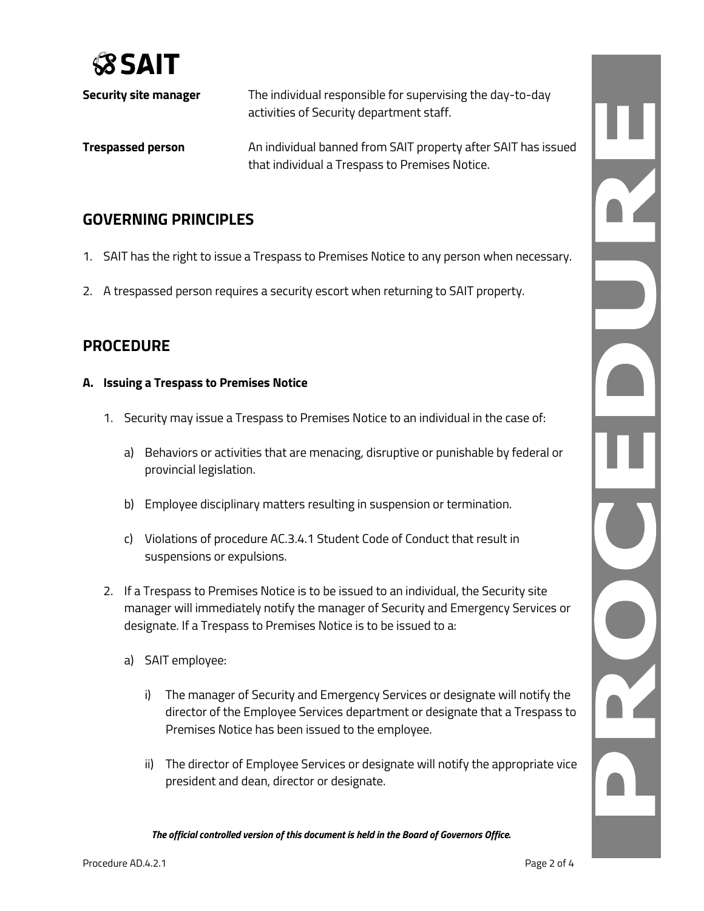

| Security site manager    | The individual responsible for supervising the day-to-day<br>activities of Security department staff.           |
|--------------------------|-----------------------------------------------------------------------------------------------------------------|
| <b>Trespassed person</b> | An individual banned from SAIT property after SAIT has issued<br>that individual a Trespass to Premises Notice. |

# **GOVERNING PRINCIPLES**

- 1. SAIT has the right to issue a Trespass to Premises Notice to any person when necessary.
- 2. A trespassed person requires a security escort when returning to SAIT property.

### **PROCEDURE**

#### **A. Issuing a Trespass to Premises Notice**

- 1. Security may issue a Trespass to Premises Notice to an individual in the case of:
	- a) Behaviors or activities that are menacing, disruptive or punishable by federal or provincial legislation.
	- b) Employee disciplinary matters resulting in suspension or termination.
	- c) Violations of procedure AC.3.4.1 Student Code of Conduct that result in suspensions or expulsions.
- 2. If a Trespass to Premises Notice is to be issued to an individual, the Security site manager will immediately notify the manager of Security and Emergency Services or designate. If a Trespass to Premises Notice is to be issued to a:
	- a) SAIT employee:
		- i) The manager of Security and Emergency Services or designate will notify the director of the Employee Services department or designate that a Trespass to Premises Notice has been issued to the employee.
		- ii) The director of Employee Services or designate will notify the appropriate vice president and dean, director or designate.

*The official controlled version of this document is held in the Board of Governors Office.*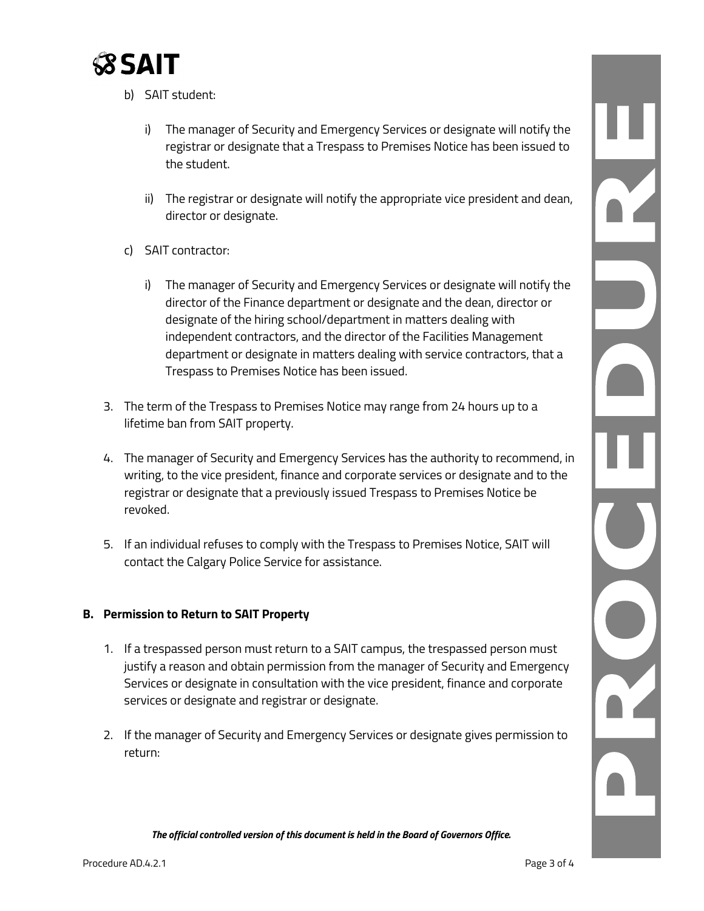

- b) SAIT student:
	- i) The manager of Security and Emergency Services or designate will notify the registrar or designate that a Trespass to Premises Notice has been issued to the student.
	- ii) The registrar or designate will notify the appropriate vice president and dean, director or designate.
- c) SAIT contractor:
	- i) The manager of Security and Emergency Services or designate will notify the director of the Finance department or designate and the dean, director or designate of the hiring school/department in matters dealing with independent contractors, and the director of the Facilities Management department or designate in matters dealing with service contractors, that a Trespass to Premises Notice has been issued.
- 3. The term of the Trespass to Premises Notice may range from 24 hours up to a lifetime ban from SAIT property.
- 4. The manager of Security and Emergency Services has the authority to recommend, in writing, to the vice president, finance and corporate services or designate and to the registrar or designate that a previously issued Trespass to Premises Notice be revoked.
- 5. If an individual refuses to comply with the Trespass to Premises Notice, SAIT will contact the Calgary Police Service for assistance.

#### **B. Permission to Return to SAIT Property**

- 1. If a trespassed person must return to a SAIT campus, the trespassed person must justify a reason and obtain permission from the manager of Security and Emergency Services or designate in consultation with the vice president, finance and corporate services or designate and registrar or designate.
- 2. If the manager of Security and Emergency Services or designate gives permission to return:

*The official controlled version of this document is held in the Board of Governors Office.*